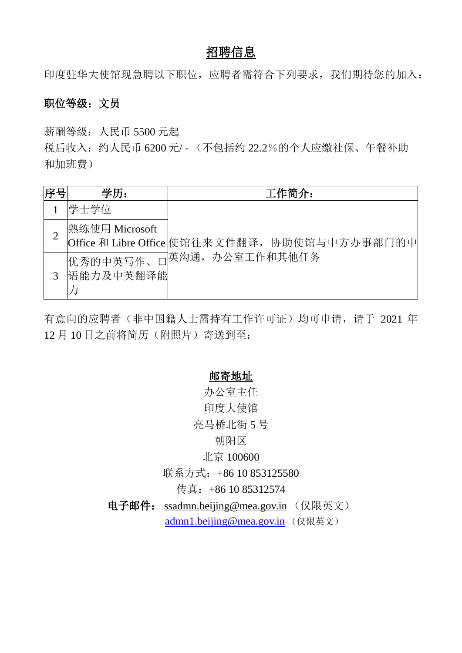# 招聘信息

印度驻华大使馆现急聘以下职位,应聘者需符合下列要求,我们期待您的加入:

## 职位等级:文员

薪酬等级:人民币 5500 元起

税后收入:约人民币 6200 元/ - (不包括约 22.2%的个人应缴社保、午餐补助 和加班费)

| 序号 | 学历:                   | 工作简介:                                         |
|----|-----------------------|-----------------------------------------------|
|    | 学士学位                  |                                               |
|    | 熟练使用 Microsoft        | Office 和 Libre Office 使馆往来文件翻译, 协助使馆与中方办事部门的中 |
| 3  | 优秀的中英写作、<br>语能力及中英翻译能 | □英沟通,办公室工作和其他任务                               |

有意向的应聘者(非中国籍人士需持有工作许可证)均可申请,请于 2021 年 12 月 10 日之前将简历(附照片)寄送到至:

### 邮寄地址

办公室主任 印度大使馆 亮马桥北街 5 号 朝阳区 北京 100600

联系方式: +86 10 853125580

传真: +86 10 85312574

电子邮件: [ssadmn.beijing@mea.gov.in](mailto:ssadmn.beijing@mea.gov.in) (仅限英文) [admn1.beijing@mea.gov.in](mailto:admn1.beijing@mea.gov.in) (仅限英文)